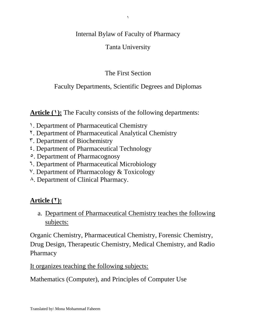#### Internal Bylaw of Faculty of Pharmacy

### Tanta University

## The First Section

### Faculty Departments, Scientific Degrees and Diplomas

Article (1): The Faculty consists of the following departments:

- 1. Department of Pharmaceutical Chemistry
- 2. Department of Pharmaceutical Analytical Chemistry
- 3. Department of Biochemistry
- 4. Department of Pharmaceutical Technology
- 5. Department of Pharmacognosy
- 6. Department of Pharmaceutical Microbiology
- 7. Department of Pharmacology & Toxicology
- 8. Department of Clinical Pharmacy.

# **Article** (*\**):

a. Department of Pharmaceutical Chemistry teaches the following subjects:

Organic Chemistry, Pharmaceutical Chemistry, Forensic Chemistry, Drug Design, Therapeutic Chemistry, Medical Chemistry, and Radio Pharmacy

It organizes teaching the following subjects:

Mathematics (Computer), and Principles of Computer Use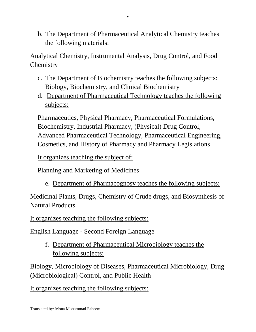b. The Department of Pharmaceutical Analytical Chemistry teaches the following materials:

Analytical Chemistry, Instrumental Analysis, Drug Control, and Food **Chemistry** 

- c. The Department of Biochemistry teaches the following subjects: Biology, Biochemistry, and Clinical Biochemistry
- d. Department of Pharmaceutical Technology teaches the following subjects:

Pharmaceutics, Physical Pharmacy, Pharmaceutical Formulations, Biochemistry, Industrial Pharmacy, (Physical) Drug Control, Advanced Pharmaceutical Technology, Pharmaceutical Engineering, Cosmetics, and History of Pharmacy and Pharmacy Legislations

It organizes teaching the subject of:

Planning and Marketing of Medicines

e. Department of Pharmacognosy teaches the following subjects:

Medicinal Plants, Drugs, Chemistry of Crude drugs, and Biosynthesis of Natural Products

It organizes teaching the following subjects:

English Language - Second Foreign Language

f. Department of Pharmaceutical Microbiology teaches the following subjects:

Biology, Microbiology of Diseases, Pharmaceutical Microbiology, Drug (Microbiological) Control, and Public Health

It organizes teaching the following subjects: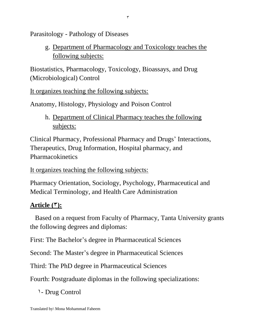Parasitology - Pathology of Diseases

g. Department of Pharmacology and Toxicology teaches the following subjects:

Biostatistics, Pharmacology, Toxicology, Bioassays, and Drug (Microbiological) Control

It organizes teaching the following subjects:

Anatomy, Histology, Physiology and Poison Control

h. Department of Clinical Pharmacy teaches the following subjects:

Clinical Pharmacy, Professional Pharmacy and Drugs' Interactions, Therapeutics, Drug Information, Hospital pharmacy, and Pharmacokinetics

It organizes teaching the following subjects:

Pharmacy Orientation, Sociology, Psychology, Pharmaceutical and Medical Terminology, and Health Care Administration

# Article  $(*)$ :

 Based on a request from Faculty of Pharmacy, Tanta University grants the following degrees and diplomas:

First: The Bachelor's degree in Pharmaceutical Sciences

Second: The Master's degree in Pharmaceutical Sciences

Third: The PhD degree in Pharmaceutical Sciences

Fourth: Postgraduate diplomas in the following specializations:

1- Drug Control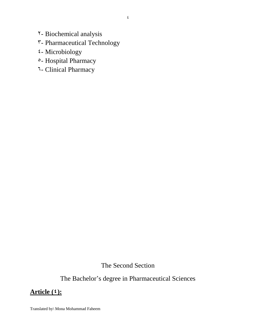2- Biochemical analysis

# 3- Pharmaceutical Technology

- 4- Microbiology
- 5- Hospital Pharmacy
- 6- Clinical Pharmacy

The Second Section

The Bachelor's degree in Pharmaceutical Sciences

### **Article (4):**

Translated by\ Mona Mohammad Faheem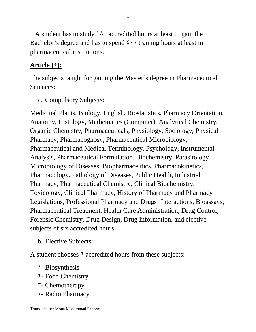A student has to study  $14 \cdot \text{accredited hours}$  at least to gain the Bachelor's degree and has to spend  $\mathfrak{t}$   $\cdots$  training hours at least in pharmaceutical institutions.

# **Article (5):**

The subjects taught for gaining the Master's degree in Pharmaceutical Sciences:

a. Compulsory Subjects:

Medicinal Plants, Biology, English, Biostatistics, Pharmacy Orientation, Anatomy, Histology, Mathematics (Computer), Analytical Chemistry, Organic Chemistry, Pharmaceuticals, Physiology, Sociology, Physical Pharmacy, Pharmacognosy, Pharmaceutical Microbiology, Pharmaceutical and Medical Terminology, Psychology, Instrumental Analysis, Pharmaceutical Formulation, Biochemistry, Parasitology, Microbiology of Diseases, Biopharmaceutics, Pharmacokinetics, Pharmacology, Pathology of Diseases, Public Health, Industrial Pharmacy, Pharmaceutical Chemistry, Clinical Biochemistry, Toxicology, Clinical Pharmacy, History of Pharmacy and Pharmacy Legislations, Professional Pharmacy and Drugs' Interactions, Bioassays, Pharmaceutical Treatment, Health Care Administration, Drug Control, Forensic Chemistry, Drug Design, Drug Information, and elective subjects of six accredited hours.

b. Elective Subjects:

A student chooses  $\bar{ }$  accredited hours from these subjects:

- 1- Biosynthesis
- 2- Food Chemistry
- $\mathsf{r}\text{-}$  Chemotherapy
- 4- Radio Pharmacy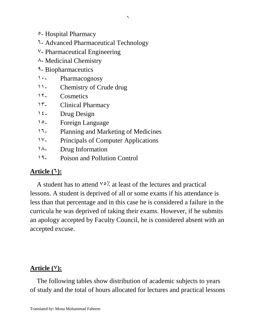- 5- Hospital Pharmacy
- 6- Advanced Pharmaceutical Technology
- 7- Pharmaceutical Engineering
- 8- Medicinal Chemistry
- 9- Biopharmaceutics
- 1. Pharmacognosy
- 11- Chemistry of Crude drug
- 12- Cosmetics
- 13- Clinical Pharmacy
- $12 -$  Drug Design
- 15- Foreign Language
- 16- Planning and Marketing of Medicines
- 17- Principals of Computer Applications
- $1^{\lambda}$  Drug Information
- 19- Poison and Pollution Control

# **Article (6):**

A student has to attend  $\vee \circ \times$  at least of the lectures and practical lessons. A student is deprived of all or some exams if his attendance is less than that percentage and in this case he is considered a failure in the curricula he was deprived of taking their exams. However, if he submits an apology accepted by Faculty Council, he is considered absent with an accepted excuse.

# Article (Y):

 The following tables show distribution of academic subjects to years of study and the total of hours allocated for lectures and practical lessons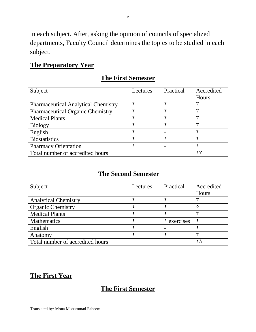in each subject. After, asking the opinion of councils of specialized departments, Faculty Council determines the topics to be studied in each subject.

#### **The Preparatory Year**

### **The First Semester**

| Subject                                    | Lectures | Practical | Accredited |
|--------------------------------------------|----------|-----------|------------|
|                                            |          |           | Hours      |
| <b>Pharmaceutical Analytical Chemistry</b> |          |           |            |
| <b>Pharmaceutical Organic Chemistry</b>    |          |           |            |
| <b>Medical Plants</b>                      |          |           |            |
| <b>Biology</b>                             |          |           |            |
| English                                    |          |           |            |
| <b>Biostatistics</b>                       |          |           |            |
| <b>Pharmacy Orientation</b>                |          |           |            |
| Total number of accredited hours           | ١V       |           |            |

# **The Second Semester**

| Subject                          | Lectures | Practical | Accredited |
|----------------------------------|----------|-----------|------------|
|                                  |          |           | Hours      |
| <b>Analytical Chemistry</b>      |          |           |            |
| <b>Organic Chemistry</b>         |          |           | ٥          |
| <b>Medical Plants</b>            |          |           |            |
| Mathematics                      |          | exercises |            |
| English                          |          |           |            |
| Anatomy                          |          |           |            |
| Total number of accredited hours | ۰A       |           |            |

# **The First Year**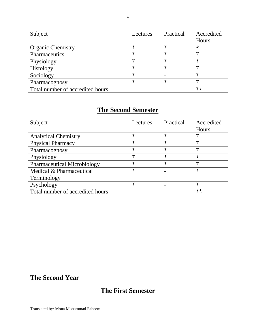| Subject                          | Lectures | Practical | Accredited |
|----------------------------------|----------|-----------|------------|
|                                  |          |           | Hours      |
| <b>Organic Chemistry</b>         |          |           | ٥          |
| Pharmaceutics                    |          |           |            |
| Physiology                       |          |           |            |
| Histology                        |          |           |            |
| Sociology                        |          |           |            |
| Pharmacognosy                    |          |           |            |
| Total number of accredited hours |          |           |            |

| Subject                            | Lectures | Practical | Accredited |
|------------------------------------|----------|-----------|------------|
|                                    |          |           | Hours      |
| <b>Analytical Chemistry</b>        |          |           |            |
| <b>Physical Pharmacy</b>           |          |           |            |
| Pharmacognosy                      |          |           |            |
| Physiology                         | سپ       |           |            |
| <b>Pharmaceutical Microbiology</b> |          |           |            |
| Medical & Pharmaceutical           |          |           |            |
| Terminology                        |          |           |            |
| Psychology                         |          |           |            |
| Total number of accredited hours   |          |           | ٩          |

# **The Second Year**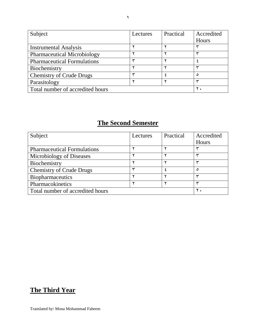| Subject                            | Lectures | Practical | Accredited |
|------------------------------------|----------|-----------|------------|
|                                    |          |           | Hours      |
| <b>Instrumental Analysis</b>       |          |           |            |
| <b>Pharmaceutical Microbiology</b> |          |           |            |
| <b>Pharmaceutical Formulations</b> |          |           |            |
| Biochemistry                       |          |           |            |
| <b>Chemistry of Crude Drugs</b>    |          |           | ٥          |
| Parasitology                       |          |           |            |
| Total number of accredited hours   |          |           |            |

| Subject                            | Lectures | Practical | Accredited    |
|------------------------------------|----------|-----------|---------------|
|                                    |          |           | Hours         |
| <b>Pharmaceutical Formulations</b> |          |           |               |
| Microbiology of Diseases           |          |           |               |
| Biochemistry                       |          |           |               |
| <b>Chemistry of Crude Drugs</b>    |          |           | ٥             |
| <b>Biopharmaceutics</b>            |          |           |               |
| Pharmacokinetics                   |          |           | س             |
| Total number of accredited hours   |          |           | $Y_{\bullet}$ |

# **The Third Year**

9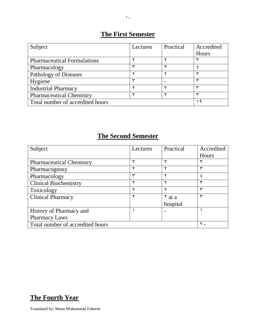# **The First Semester**

| Subject                            | Lectures | Practical | Accredited |
|------------------------------------|----------|-----------|------------|
|                                    |          |           | Hours      |
| <b>Pharmaceutical Formulations</b> |          |           |            |
| Pharmacology                       |          |           |            |
| Pathology of Diseases              |          |           |            |
| Hygiene                            |          |           |            |
| <b>Industrial Pharmacy</b>         |          |           |            |
| <b>Pharmaceutical Chemistry</b>    |          |           |            |
| Total number of accredited hours   |          |           | ٩          |

# **The Second Semester**

| Subject                          | Lectures | Practical      | Accredited |
|----------------------------------|----------|----------------|------------|
|                                  |          |                | Hours      |
| <b>Pharmaceutical Chemistry</b>  |          |                |            |
| Pharmacognosy                    |          |                | سپ         |
| Pharmacology                     |          |                |            |
| <b>Clinical Biochemistry</b>     |          |                | سپ         |
| Toxicology                       |          |                | ىپ         |
| <b>Clinical Pharmacy</b>         |          | $\lambda$ at a | سپ         |
|                                  |          | hospital       |            |
| History of Pharmacy and          |          |                |            |
| <b>Pharmacy Laws</b>             |          |                |            |
| Total number of accredited hours |          |                |            |

# **The Fourth Year**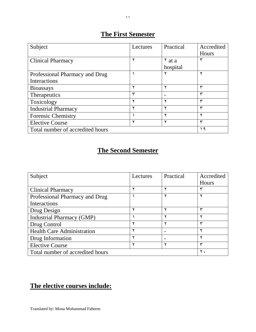# **The First Semester**

| Subject                          | Lectures | Practical          | Accredited   |
|----------------------------------|----------|--------------------|--------------|
|                                  |          |                    | Hours        |
| <b>Clinical Pharmacy</b>         |          | $\frac{8}{3}$ at a | ۳            |
|                                  |          | hospital           |              |
| Professional Pharmacy and Drug   |          |                    |              |
| Interactions                     |          |                    |              |
| <b>Bioassays</b>                 |          |                    | ₩            |
| Therapeutics                     | ٣        |                    | سپ           |
| Toxicology                       |          |                    | سپ           |
| <b>Industrial Pharmacy</b>       |          |                    | سپ           |
| <b>Forensic Chemistry</b>        |          |                    | v            |
| <b>Elective Course</b>           |          |                    | ₩            |
| Total number of accredited hours |          |                    | $\mathsf{a}$ |

# **The Second Semester**

| Subject                           | Lectures | Practical | Accredited |
|-----------------------------------|----------|-----------|------------|
|                                   |          |           | Hours      |
| <b>Clinical Pharmacy</b>          |          |           |            |
| Professional Pharmacy and Drug    |          |           |            |
| Interactions                      |          |           |            |
| Drug Design                       |          |           | سي         |
| <b>Industrial Pharmacy (GMP)</b>  |          |           |            |
| Drug Control                      |          |           | س          |
| <b>Health Care Administration</b> |          |           | ۰          |
| Drug Information                  |          |           |            |
| <b>Elective Course</b>            |          |           | س          |
| Total number of accredited hours  |          |           |            |

# **The elective courses include:**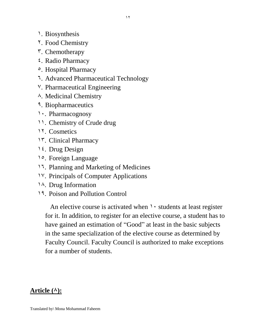- 1. Biosynthesis
- 2. Food Chemistry
- 3. Chemotherapy
- 4. Radio Pharmacy
- 5. Hospital Pharmacy
- 6. Advanced Pharmaceutical Technology
- 7. Pharmaceutical Engineering
- 8. Medicinal Chemistry
- 9. Biopharmaceutics
- 1. Pharmacognosy
- 11. Chemistry of Crude drug
- 12. Cosmetics
- 13. Clinical Pharmacy
- 14. Drug Design
- 15. Foreign Language
- 16. Planning and Marketing of Medicines
- 17. Principals of Computer Applications
- 18. Drug Information
- 19. Poison and Pollution Control

An elective course is activated when  $\lambda$  students at least register for it. In addition, to register for an elective course, a student has to have gained an estimation of "Good" at least in the basic subjects in the same specialization of the elective course as determined by Faculty Council. Faculty Council is authorized to make exceptions for a number of students.

# Article  $(\wedge)$ :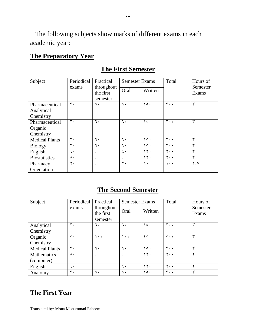The following subjects show marks of different exams in each academic year:

### **The Preparatory Year**

| Subject               | Periodical<br>Practical |                          | <b>Semester Exams</b> |           | Total           | Hours of          |
|-----------------------|-------------------------|--------------------------|-----------------------|-----------|-----------------|-------------------|
|                       | exams                   | throughout<br>the first  | Oral                  | Written   |                 | Semester<br>Exams |
|                       |                         | semester                 |                       |           |                 |                   |
| Pharmaceutical        | $\mathbf{r}$ .          | ٦.                       | ٦.                    | $\circ$ . | $r \cdot \cdot$ | ٣                 |
| Analytical            |                         |                          |                       |           |                 |                   |
| Chemistry             |                         |                          |                       |           |                 |                   |
| Pharmaceutical        | ٣.                      | ٦.                       | ٦.                    | $\cdot$   | ٣.,             | ۳                 |
| Organic               |                         |                          |                       |           |                 |                   |
| Chemistry             |                         |                          |                       |           |                 |                   |
| <b>Medical Plants</b> | ٣.                      | ٦.                       | ٦.                    | 0٠.       | ٣.,             | ٣                 |
| <b>Biology</b>        | $\mathsf{r}$ .          | ٦.                       | ٦.                    | $\circ$ . | $\mathbf{r}$ .  | ۳                 |
| English               | $\epsilon$ .            | $\overline{\phantom{a}}$ | $\epsilon$ .          | 17.       | ٢.,             | ٣                 |
| <b>Biostatistics</b>  | ٨.                      | $\overline{\phantom{a}}$ |                       | 17.       | ٢.,             | $\checkmark$      |
| Pharmacy              | ۲.                      | -                        | $\mathbf{r}$ .        | ٦.        | $\lambda$ .     | $\lambda$ , 0     |
| Orientation           |                         |                          |                       |           |                 |                   |

### **The First Semester**

#### **The Second Semester**

| Subject               | Periodical       | Practical                           | <b>Semester Exams</b> |                 | Total               | Hours of          |
|-----------------------|------------------|-------------------------------------|-----------------------|-----------------|---------------------|-------------------|
|                       | exams            | throughout<br>the first<br>semester | Oral                  | Written         |                     | Semester<br>Exams |
| Analytical            | ٣.               | ٦.                                  | ٦.                    | $\circ$ .       | $r \cdot \cdot$     | ٣                 |
| Chemistry             |                  |                                     |                       |                 |                     |                   |
| Organic               | $\circ$ .        | ۰.                                  | ۰.۱                   | $Y \circ \cdot$ | $\circ \cdot \cdot$ | ₩                 |
| Chemistry             |                  |                                     |                       |                 |                     |                   |
| <b>Medical Plants</b> | $\mathbf{r}$ .   | ٦.                                  | ٦.                    | $\circ$ .       | $r \cdot \cdot$     | ₩                 |
| Mathematics           | ۸٠               |                                     |                       | 15.             | $Y \cdot \cdot$     |                   |
| (computer)            |                  |                                     |                       |                 |                     |                   |
| English               | $\mathfrak{c}$ . | $\overline{\phantom{a}}$            | $\epsilon$ .          | 15.             | $Y \cdot \cdot$     |                   |
| Anatomy               | ٣.               | ٦.                                  | ٦.                    | $\circ$ .       | $r \cdot \cdot$     | سپ                |

### **The First Year**

 $\gamma \tau$ 

Translated by\ Mona Mohammad Faheem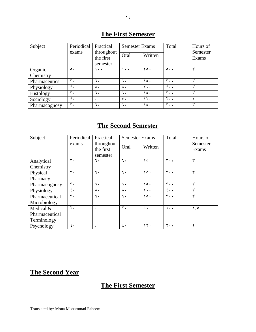| Subject<br>Periodical |                  | Practical                | <b>Semester Exams</b> |                 | Total               | Hours of          |
|-----------------------|------------------|--------------------------|-----------------------|-----------------|---------------------|-------------------|
|                       | exams            | throughout<br>the first  | Oral                  | Written         |                     | Semester<br>Exams |
|                       |                  | semester                 |                       |                 |                     |                   |
| Organic               | $\circ$ .        | $\bullet$ $\bullet$      | $\ddot{\phantom{1}}$  | $Y \circ \cdot$ | $\circ \cdot \cdot$ | سپ                |
| Chemistry             |                  |                          |                       |                 |                     |                   |
| Pharmaceutics         | ٣.               | ٦.                       | ٦.                    | $\circ$ .       | $\mathbf{r}$ .      | س                 |
| Physiology            | $\mathfrak{c}$ . | Λ,                       | ۸٠                    | $Y \cdot \cdot$ | $2 \cdot \cdot$     | س                 |
| Histology             | $\mathbf{r}$ .   | ٦.                       | ٦.                    | 0٠              | $r \cdot \cdot$     | سپ                |
| Sociology             | $\mathfrak{c}$ . | $\overline{\phantom{0}}$ | $\epsilon$ .          | ۱۲.             | $Y \cdot \cdot$     |                   |
| Pharmacognosy         | ٣.               | ٦.                       | ٦.                    | $\circ$ .       | $r \cdot \cdot$     | سپ                |

# **The First Semester**

# **The Second Semester**

| Subject        | Periodical       | Practical                           | <b>Semester Exams</b> |                       | Total                  | Hours of<br>Semester<br>Exams |
|----------------|------------------|-------------------------------------|-----------------------|-----------------------|------------------------|-------------------------------|
|                | exams            | throughout<br>the first<br>semester | Oral                  | Written               |                        |                               |
| Analytical     | $\mathbf{r}$ .   | ٦.                                  | ٦.                    | $\cdot$               | $r \cdot \cdot$        | ٣                             |
| Chemistry      |                  |                                     |                       |                       |                        |                               |
| Physical       | ٣.               | ٦.                                  | ٦.                    | $\circ$ .             | $r \cdot \cdot$        | ٣                             |
| Pharmacy       |                  |                                     |                       |                       |                        |                               |
| Pharmacognosy  | $\mathbf{r}$ .   | ٦.                                  | ٦.                    | $\lambda \circ \cdot$ | $r \cdot \cdot$        | ٣                             |
| Physiology     | $\mathfrak{c}$ . | $\wedge\cdot$                       | $\Lambda$ .           | ٢.,                   | $\epsilon \cdot \cdot$ | ٣                             |
| Pharmaceutical | $\mathbf{r}$ .   | ٦.                                  | ٦.                    | $\lambda \circ \cdot$ | $r \cdot \cdot$        | ٣                             |
| Microbiology   |                  |                                     |                       |                       |                        |                               |
| Medical &      | $\mathbf{r}$ .   |                                     | $\mathbf{r}$ .        | ٦.                    | ۰.۱                    | $\lambda, \circ$              |
| Pharmaceutical |                  |                                     |                       |                       |                        |                               |
| Terminology    |                  |                                     |                       |                       |                        |                               |
| Psychology     | $\epsilon$ .     |                                     | $\epsilon$ .          | 15.                   | ٢.,                    | ۲                             |

# **The Second Year**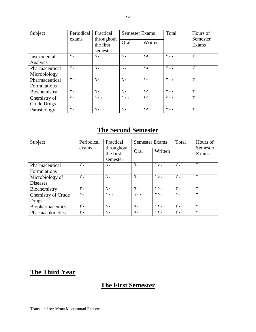| Subject                               | Periodical | Practical                           | <b>Semester Exams</b> |                 | Total               | Hours of<br>Semester<br>Exams |
|---------------------------------------|------------|-------------------------------------|-----------------------|-----------------|---------------------|-------------------------------|
|                                       | exams      | throughout<br>the first<br>semester | Oral                  | Written         |                     |                               |
| Instrumental<br>Analysis              | ٣.         | ٦.                                  | ٦.                    | $\circ$ .       | $r \cdot \cdot$     | ٣                             |
| Pharmaceutical<br>Microbiology        | ٣.         | ٦.                                  | ٦.                    | $\cdot$         | $r \cdot \cdot$     | ٣                             |
| Pharmaceutical<br><b>Formulations</b> | ٣.         | ٦.                                  | ٦.                    | $\circ$ .       | $r \cdot \cdot$     | ٣                             |
| Biochemistry                          | ٣.         | ٦.                                  | ٦.                    | $\cdot$         | $r \cdot \cdot$     | ٣                             |
| Chemistry of<br>Crude Drugs           | $\circ$ .  | ۰۰۰                                 | ۰.۱                   | $Y \circ \cdot$ | $\circ \cdot \cdot$ | ۳                             |
| Parasitology                          | ٣.         | ٦.                                  | ٦.                    | $\circ$ .       | $r \cdot \cdot$     | ٣                             |

| Subject                   | Periodical<br>exams | Practical<br>throughout<br>the first<br>semester | <b>Semester Exams</b><br>Oral | Written         | Total                    | Hours of<br>Semester<br>Exams |
|---------------------------|---------------------|--------------------------------------------------|-------------------------------|-----------------|--------------------------|-------------------------------|
| Pharmaceutical            | ٣.                  | ٦.                                               | ٦.                            | $\circ$ .       | $\mathbf{r}$ .           | سپ                            |
| <b>Formulations</b>       |                     |                                                  |                               |                 |                          |                               |
| Microbiology of           | ٣.                  | ٦.                                               | ٦.                            | $\circ$ .       | $\mathbf{r}$ .           | سپ                            |
| <b>Diseases</b>           |                     |                                                  |                               |                 |                          |                               |
| Biochemistry              | ٣.                  | ٦.                                               | ٦.                            | $\circ$ .       | $r \cdot \cdot$          | سپ                            |
| <b>Chemistry of Crude</b> | $\circ$ .           | ۰.۱                                              | $\bullet$ $\bullet$           | $Y \circ \cdot$ | $\circ \cdot \cdot$      | سپ                            |
| Drugs                     |                     |                                                  |                               |                 |                          |                               |
| Biopharmaceutics          | $\mathbf{r}$ .      | ٦.                                               | ٦.                            | $\circ$ .       | $\mathbf{r} \cdot \cdot$ | سپ                            |
| Pharmacokinetics          | ٣.                  | ٦.                                               | ٦.                            | $\circ$ .       | $r \cdot \cdot$          | سپ                            |

# **The Third Year**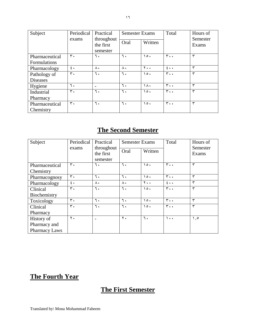| Subject<br>Periodical           |                | Practical                           | <b>Semester Exams</b> |                       | Total           | Hours of          |
|---------------------------------|----------------|-------------------------------------|-----------------------|-----------------------|-----------------|-------------------|
|                                 | exams          | throughout<br>the first<br>semester | Oral                  | Written               |                 | Semester<br>Exams |
| Pharmaceutical<br>Formulations  | ٣.             | ٦.                                  | ٦.                    | $\lambda \circ \cdot$ | $r \cdot \cdot$ | ٣                 |
| Pharmacology                    | $\epsilon$ .   | $\Lambda$                           | $\Lambda \cdot$       | $Y \cdot \cdot$       | $2 \cdot \cdot$ | ٣                 |
| Pathology of<br><b>Diseases</b> | $\mathbf{r}$ . | ٦.                                  | ٦.                    | $\lambda \circ \cdot$ | $r \cdot \cdot$ | ٣                 |
| Hygiene                         | ٦.             |                                     | ٦.                    | ١٨٠                   | $r \cdot \cdot$ | ٣                 |
| Industrial<br>Pharmacy          | ٣.             | ٦.                                  | ٦.                    | $\lambda \circ \cdot$ | $r \cdot \cdot$ | ٣                 |
| Pharmaceutical<br>Chemistry     | $\mathbf{r}$ . | ٦.                                  | ٦.                    | $\circ$ .             | $r \cdot \cdot$ | ٣                 |

| Subject              | Periodical     | Practical                           | <b>Semester Exams</b> |                       | Total                    | Hours of          |
|----------------------|----------------|-------------------------------------|-----------------------|-----------------------|--------------------------|-------------------|
|                      | exams          | throughout<br>the first<br>semester | Oral                  | Written               |                          | Semester<br>Exams |
| Pharmaceutical       | ٣.             | ٦.                                  | ٦.                    | $\circ$ .             | ٣.,                      | ٣                 |
| Chemistry            |                |                                     |                       |                       |                          |                   |
| Pharmacognosy        | ٣.             | ٦.                                  | ٦.                    | $\circ$ .             | ٣.,                      | ٣                 |
| Pharmacology         | $\epsilon$ .   | ۸٠                                  | $\wedge\cdot$         | $Y \cdot \cdot$       | $2 \cdot \cdot$          | ٣                 |
| Clinical             | $\mathbf{r}$ . | ٦.                                  | ٦.                    | $\circ$ .             | $r \cdot \cdot$          | ٣                 |
| Biochemistry         |                |                                     |                       |                       |                          |                   |
| Toxicology           | ٣.             | ٦.                                  | ٦.                    | $\circ$ .             | ٣.,                      | ٣                 |
| Clinical             | $\mathbf{r}$ . | ٦.                                  | ٦.                    | $\lambda \circ \cdot$ | $\mathbf{r} \cdot \cdot$ | ٣                 |
| Pharmacy             |                |                                     |                       |                       |                          |                   |
| History of           | $\mathbf{r}$ . |                                     | $\mathbf{r}$ .        | ٦.                    | ۱۰۰                      | $\eta, \rho$      |
| Pharmacy and         |                |                                     |                       |                       |                          |                   |
| <b>Pharmacy Laws</b> |                |                                     |                       |                       |                          |                   |

# **The Fourth Year**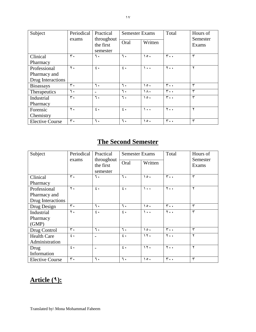| Subject                | Periodical    | Practical<br><b>Semester Exams</b>  |              |                       | Total                    | Hours of          |
|------------------------|---------------|-------------------------------------|--------------|-----------------------|--------------------------|-------------------|
|                        | exams         | throughout<br>the first<br>semester | Oral         | Written               |                          | Semester<br>Exams |
| Clinical               | ٣.            | ٦.                                  | ٦.           | $\circ$ .             | ٣.,                      | ٣                 |
| Pharmacy               |               |                                     |              |                       |                          |                   |
| Professional           | ٢.            | $\epsilon$ .                        | $\epsilon$ . | $\lambda$ .           | $Y \cdot \cdot$          | ۲                 |
| Pharmacy and           |               |                                     |              |                       |                          |                   |
| Drug Interactions      |               |                                     |              |                       |                          |                   |
| <b>Bioassays</b>       | ٣.            | ٦.                                  | ٦.           | $\circ$ .             | ٣.,                      | ٣                 |
| Therapeutics           | ٦.            | $\overline{\phantom{a}}$            | ٦.           | ١٨٠                   | $\mathbf{r} \cdot \cdot$ | ٣                 |
| Industrial             | $\mathbf r$ . | ٦.                                  | ٦.           | $\lambda \circ \cdot$ | $r \cdot \cdot$          | ٣                 |
| Pharmacy               |               |                                     |              |                       |                          |                   |
| Forensic               | ٢.            | $\mathfrak{c}$ .                    | $\epsilon$ . | ۰.۱                   | ٢.,                      | ۲                 |
| Chemistry              |               |                                     |              |                       |                          |                   |
| <b>Elective Course</b> | ٣.            | ٦.                                  | ٦.           | $\circ$ .             | ٣.,                      | ٣                 |

| Subject                | Periodical                                   | Practical      | <b>Semester Exams</b> |                       | Total                    | Hours of     |
|------------------------|----------------------------------------------|----------------|-----------------------|-----------------------|--------------------------|--------------|
|                        | throughout<br>exams<br>the first<br>semester | Oral           | Written               |                       | Semester<br>Exams        |              |
| Clinical               | ٣.                                           | ٦.             | ٦.                    | $\lambda \circ \cdot$ | $\mathbf{r} \cdot \cdot$ | ٣            |
| Pharmacy               |                                              |                |                       |                       |                          |              |
| Professional           | $\mathbf{r}$ .                               | $\epsilon$ .   | $\epsilon$ .          | $\lambda$ .           | $Y \cdot \cdot$          | ۲            |
| Pharmacy and           |                                              |                |                       |                       |                          |              |
| Drug Interactions      |                                              |                |                       |                       |                          |              |
| Drug Design            | $\mathbf{r}$ .                               | ٦.             | ٦.                    | $\cdot$               | $r \cdot \cdot$          | ٣            |
| Industrial             | $\mathbf{r}$ .                               | $\epsilon$ .   | $\epsilon$ .          | $\lambda$ .           | ٢.,                      | $\mathbf{r}$ |
| Pharmacy               |                                              |                |                       |                       |                          |              |
| (GMP)                  |                                              |                |                       |                       |                          |              |
| Drug Control           | ٣.                                           | ٦.             | ٦.                    | $\cdot$               | $\mathbf{r} \cdot \cdot$ | ٣            |
| <b>Health Care</b>     | $\epsilon$ .                                 |                | $\epsilon$ .          | $\gamma$              | ٢.,                      | ۲            |
| Administration         |                                              |                |                       |                       |                          |              |
| Drug                   | $\epsilon$ .                                 | $\overline{a}$ | $\epsilon$ .          | $\gamma$              | ٢.,                      | ۲            |
| Information            |                                              |                |                       |                       |                          |              |
| <b>Elective Course</b> | ٣.                                           | ٦.             | ٦.                    | 0٠.                   | $\mathbf{r}$ .           | ٣            |

# **Article (9):**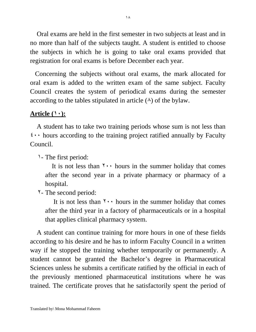Oral exams are held in the first semester in two subjects at least and in no more than half of the subjects taught. A student is entitled to choose the subjects in which he is going to take oral exams provided that registration for oral exams is before December each year.

 Concerning the subjects without oral exams, the mark allocated for oral exam is added to the written exam of the same subject. Faculty Council creates the system of periodical exams during the semester according to the tables stipulated in article  $(\lambda)$  of the bylaw.

#### Article  $(1)$ :

 A student has to take two training periods whose sum is not less than  $\mathfrak{t}$ ... hours according to the training project ratified annually by Faculty Council.

1- The first period:

It is not less than  $\gamma \cdot \cdot$  hours in the summer holiday that comes after the second year in a private pharmacy or pharmacy of a hospital.

2- The second period:

It is not less than  $\forall \cdot \cdot$  hours in the summer holiday that comes after the third year in a factory of pharmaceuticals or in a hospital that applies clinical pharmacy system.

 A student can continue training for more hours in one of these fields according to his desire and he has to inform Faculty Council in a written way if he stopped the training whether temporarily or permanently. A student cannot be granted the Bachelor's degree in Pharmaceutical Sciences unless he submits a certificate ratified by the official in each of the previously mentioned pharmaceutical institutions where he was trained. The certificate proves that he satisfactorily spent the period of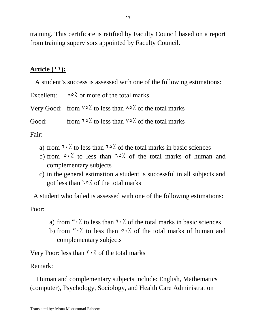training. This certificate is ratified by Faculty Council based on a report from training supervisors appointed by Faculty Council.

# **Article (11):**

A student's success is assessed with one of the following estimations:

Excellent:  $\lambda \circ \lambda$  or more of the total marks Very Good: from  $\sqrt{67}$  to less than  $\sqrt{67}$  of the total marks Good: from  $\sqrt{57}$  to less than  $\sqrt{57}$  of the total marks

Fair:

- a) from  $\sqrt{7}$  to less than  $\sqrt{2}$  of the total marks in basic sciences
- b) from  $\circ$ .  $\cdot$  to less than  $\circ$  is of the total marks of human and complementary subjects
- c) in the general estimation a student is successful in all subjects and got less than  $\sqrt{67}$  of the total marks

 A student who failed is assessed with one of the following estimations: Poor:

- a) from  $\forall \cdot \rangle$  to less than  $\forall \cdot \rangle$  of the total marks in basic sciences
- b) from  $\forall$ . to less than  $\circ$ .  $\lor$  of the total marks of human and complementary subjects

Very Poor: less than  $\forall \cdot \rangle$  of the total marks

Remark:

 Human and complementary subjects include: English, Mathematics (computer), Psychology, Sociology, and Health Care Administration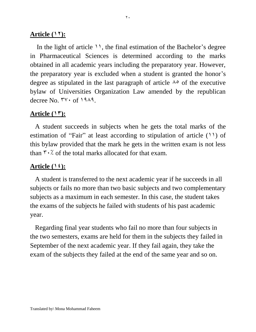#### **Article (17):**

In the light of article  $\mathcal{V}$ , the final estimation of the Bachelor's degree in Pharmaceutical Sciences is determined according to the marks obtained in all academic years including the preparatory year. However, the preparatory year is excluded when a student is granted the honor's degree as stipulated in the last paragraph of article  $\lambda^{\circ}$  of the executive bylaw of Universities Organization Law amended by the republican decree No.  $\mathbf{v} \cdot \mathbf{f} \cdot \mathbf{A}$ 

#### Article  $(17)$ :

 A student succeeds in subjects when he gets the total marks of the estimation of "Fair" at least according to stipulation of article  $(11)$  of this bylaw provided that the mark he gets in the written exam is not less than  $\forall \cdot \rangle$  of the total marks allocated for that exam.

#### **Article (14):**

 A student is transferred to the next academic year if he succeeds in all subjects or fails no more than two basic subjects and two complementary subjects as a maximum in each semester. In this case, the student takes the exams of the subjects he failed with students of his past academic year.

 Regarding final year students who fail no more than four subjects in the two semesters, exams are held for them in the subjects they failed in September of the next academic year. If they fail again, they take the exam of the subjects they failed at the end of the same year and so on.